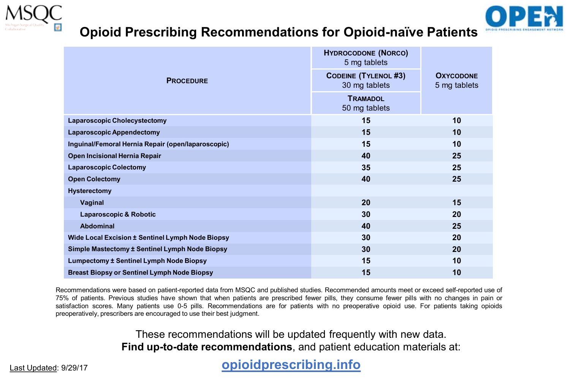

## **Opioid Prescribing Recommendations for Opioid-naïve Patients**



| <b>PROCEDURE</b>                                   | <b>HYDROCODONE (NORCO)</b><br>5 mg tablets   | <b>OXYCODONE</b><br>5 mg tablets |
|----------------------------------------------------|----------------------------------------------|----------------------------------|
|                                                    | <b>CODEINE (TYLENOL #3)</b><br>30 mg tablets |                                  |
|                                                    | <b>TRAMADOL</b><br>50 mg tablets             |                                  |
| <b>Laparoscopic Cholecystectomy</b>                | 15                                           | 10                               |
| <b>Laparoscopic Appendectomy</b>                   | 15                                           | 10                               |
| Inguinal/Femoral Hernia Repair (open/laparoscopic) | 15                                           | 10                               |
| Open Incisional Hernia Repair                      | 40                                           | 25                               |
| <b>Laparoscopic Colectomy</b>                      | 35                                           | 25                               |
| <b>Open Colectomy</b>                              | 40                                           | 25                               |
| Hysterectomy                                       |                                              |                                  |
| Vaginal                                            | 20                                           | 15                               |
| Laparoscopic & Robotic                             | 30                                           | 20                               |
| Abdominal                                          | 40                                           | 25                               |
| Wide Local Excision ± Sentinel Lymph Node Biopsy   | 30                                           | 20                               |
| Simple Mastectomy ± Sentinel Lymph Node Biopsy     | 30                                           | 20                               |
| <b>Lumpectomy ± Sentinel Lymph Node Biopsy</b>     | 15                                           | 10                               |
| <b>Breast Biopsy or Sentinel Lymph Node Biopsy</b> | 15                                           | 10                               |

Recommendations were based on patient-reported data from MSQC and published studies. Recommended amounts meet or exceed self-reported use of 75% of patients. Previous studies have shown that when patients are prescribed fewer pills, they consume fewer pills with no changes in pain or satisfaction scores. Many patients use 0-5 pills. Recommendations are for patients with no preoperative opioid use. For patients taking opioids preoperatively, prescribers are encouraged to use their best judgment.

> These recommendations will be updated frequently with new data. **Find up-to-date recommendations**, and patient education materials at:

## Last Updated: 9/29/17 **opioidprescribing.info**